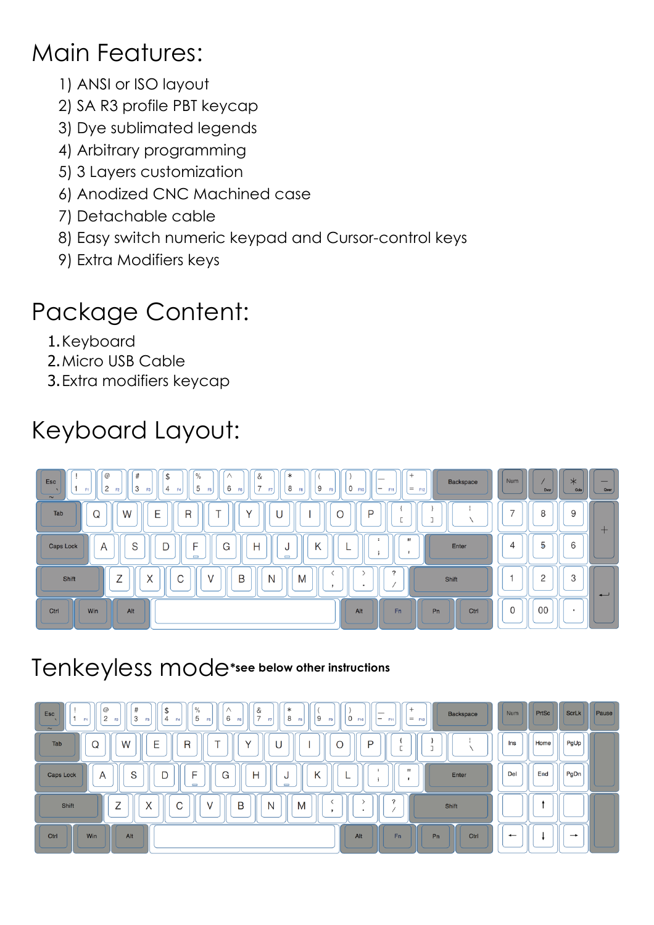## Main Features:

- 1) ANSI or ISO layout
- 2) SA R3 profile PBT keycap
- 3) Dye sublimated legends
- 4) Arbitrary programming
- 5) 3 Layers customization
- 6) Anodized CNC Machined case
- 7) Detachable cable
- 8) Easy switch numeric keypad and Cursor-control keys
- 9) Extra Modifiers keys

## Package Content:

- 1.Keyboard
- 2.Micro USB Cable
- 3.Extra modifiers keycap

# Keyboard Layout:



#### Tenkeyless mode**\*see below other instructions**

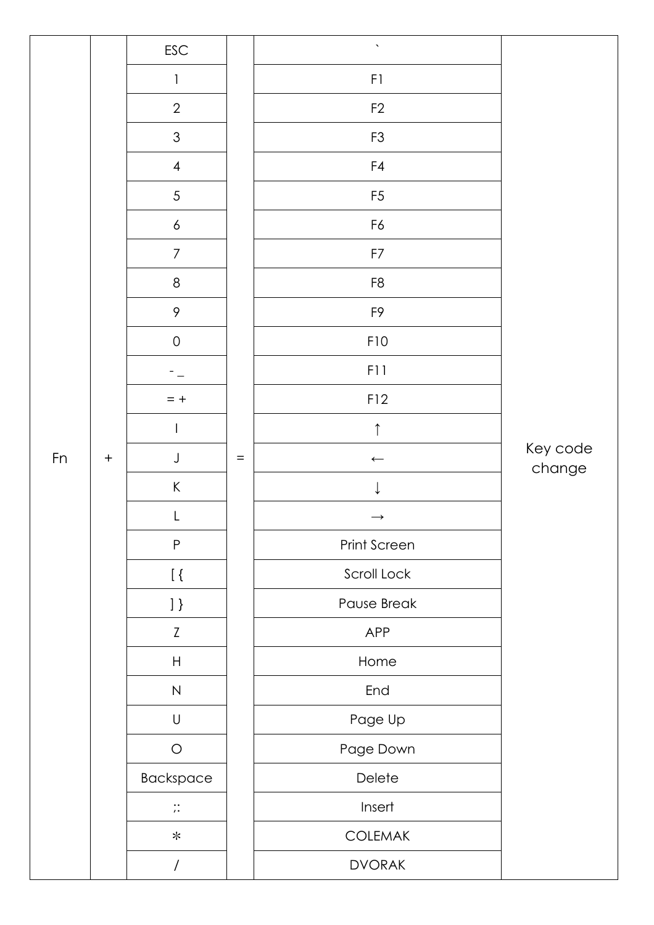|    |                  | $\mathsf{ESC}$            |          | $\bar{\mathbf{v}}$ |                    |
|----|------------------|---------------------------|----------|--------------------|--------------------|
|    |                  | $\mathbf{1}$              |          | F1                 |                    |
|    |                  | $\overline{2}$            |          | F2                 |                    |
|    |                  | $\mathfrak{S}$            |          | F <sub>3</sub>     |                    |
|    |                  | $\overline{4}$            |          | F4                 |                    |
|    |                  | $\sqrt{5}$                |          | F <sub>5</sub>     |                    |
|    |                  | $\boldsymbol{6}$          |          | F6                 |                    |
|    |                  | $\overline{7}$            |          | F7                 |                    |
|    |                  | $\,8\,$                   |          | F <sub>8</sub>     |                    |
|    |                  | $\mathcal{P}$             |          | F9                 |                    |
|    |                  | $\mathsf O$               |          | F10                |                    |
|    |                  |                           |          | F11                |                    |
|    |                  | $= +$                     |          | F12                |                    |
|    |                  |                           |          | $\uparrow$         |                    |
| Fn | $\boldsymbol{+}$ | $\mathsf J$               | $\equiv$ | $\longleftarrow$   | Key code<br>change |
|    |                  | $\sf K$                   |          |                    |                    |
|    |                  | L                         |          | $\rightarrow$      |                    |
|    |                  | $\sf P$                   |          | Print Screen       |                    |
|    |                  | $\lceil \cdot \rceil$     |          | Scroll Lock        |                    |
|    |                  | $\vert$ }                 |          | Pause Break        |                    |
|    |                  | $\ensuremath{\mathsf{Z}}$ |          | APP                |                    |
|    |                  | $\boldsymbol{\mathsf{H}}$ |          | Home               |                    |
|    |                  | ${\sf N}$                 |          | End                |                    |
|    |                  | $\mathsf U$               |          | Page Up            |                    |
|    |                  | $\bigcirc$                |          | Page Down          |                    |
|    |                  | Backspace                 |          | Delete             |                    |
|    |                  | $\vdots$                  |          | Insert             |                    |
|    |                  | $\ast$                    |          | <b>COLEMAK</b>     |                    |
|    |                  | $\overline{\phantom{a}}$  |          | <b>DVORAK</b>      |                    |